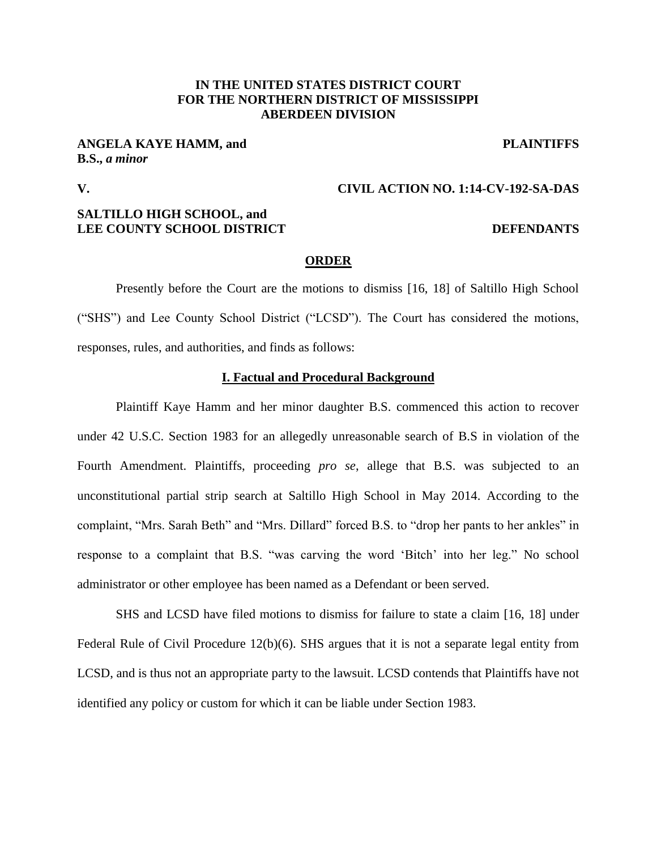# **IN THE UNITED STATES DISTRICT COURT FOR THE NORTHERN DISTRICT OF MISSISSIPPI ABERDEEN DIVISION**

**ANGELA KAYE HAMM, and PLAINTIFFS B.S.,** *a minor*

**V. CIVIL ACTION NO. 1:14-CV-192-SA-DAS**

# **SALTILLO HIGH SCHOOL, and LEE COUNTY SCHOOL DISTRICT DEFENDANTS**

## **ORDER**

Presently before the Court are the motions to dismiss [16, 18] of Saltillo High School ("SHS") and Lee County School District ("LCSD"). The Court has considered the motions, responses, rules, and authorities, and finds as follows:

## **I. Factual and Procedural Background**

Plaintiff Kaye Hamm and her minor daughter B.S. commenced this action to recover under 42 U.S.C. Section 1983 for an allegedly unreasonable search of B.S in violation of the Fourth Amendment. Plaintiffs, proceeding *pro se*, allege that B.S. was subjected to an unconstitutional partial strip search at Saltillo High School in May 2014. According to the complaint, "Mrs. Sarah Beth" and "Mrs. Dillard" forced B.S. to "drop her pants to her ankles" in response to a complaint that B.S. "was carving the word 'Bitch' into her leg." No school administrator or other employee has been named as a Defendant or been served.

SHS and LCSD have filed motions to dismiss for failure to state a claim [16, 18] under Federal Rule of Civil Procedure 12(b)(6). SHS argues that it is not a separate legal entity from LCSD, and is thus not an appropriate party to the lawsuit. LCSD contends that Plaintiffs have not identified any policy or custom for which it can be liable under Section 1983.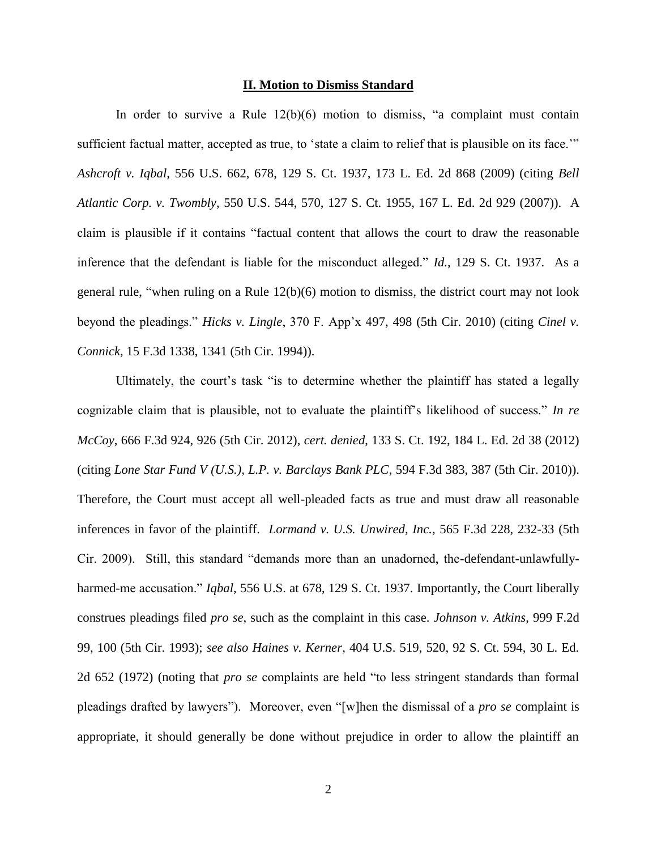#### **II. Motion to Dismiss Standard**

In order to survive a Rule  $12(b)(6)$  motion to dismiss, "a complaint must contain sufficient factual matter, accepted as true, to 'state a claim to relief that is plausible on its face.'" *Ashcroft v. Iqbal*, 556 U.S. 662, 678, 129 S. Ct. 1937, 173 L. Ed. 2d 868 (2009) (citing *Bell Atlantic Corp. v. Twombly*, 550 U.S. 544, 570, 127 S. Ct. 1955, 167 L. Ed. 2d 929 (2007)). A claim is plausible if it contains "factual content that allows the court to draw the reasonable inference that the defendant is liable for the misconduct alleged." *Id.*, 129 S. Ct. 1937. As a general rule, "when ruling on a Rule 12(b)(6) motion to dismiss, the district court may not look beyond the pleadings." *Hicks v. Lingle*, 370 F. App'x 497, 498 (5th Cir. 2010) (citing *Cinel v. Connick*, 15 F.3d 1338, 1341 (5th Cir. 1994)).

Ultimately, the court's task "is to determine whether the plaintiff has stated a legally cognizable claim that is plausible, not to evaluate the plaintiff's likelihood of success." *In re McCoy*, 666 F.3d 924, 926 (5th Cir. 2012), *cert. denied*, 133 S. Ct. 192, 184 L. Ed. 2d 38 (2012) (citing *Lone Star Fund V (U.S.), L.P. v. Barclays Bank PLC*, 594 F.3d 383, 387 (5th Cir. 2010)). Therefore, the Court must accept all well-pleaded facts as true and must draw all reasonable inferences in favor of the plaintiff. *Lormand v. U.S. Unwired, Inc.*, 565 F.3d 228, 232-33 (5th Cir. 2009). Still, this standard "demands more than an unadorned, the-defendant-unlawfullyharmed-me accusation." *Iqbal*, 556 U.S. at 678, 129 S. Ct. 1937. Importantly, the Court liberally construes pleadings filed *pro se*, such as the complaint in this case. *Johnson v. Atkins*, 999 F.2d 99, 100 (5th Cir. 1993); *see also Haines v. Kerner*, 404 U.S. 519, 520, 92 S. Ct. 594, 30 L. Ed. 2d 652 (1972) (noting that *pro se* complaints are held "to less stringent standards than formal pleadings drafted by lawyers"). Moreover, even "[w]hen the dismissal of a *pro se* complaint is appropriate, it should generally be done without prejudice in order to allow the plaintiff an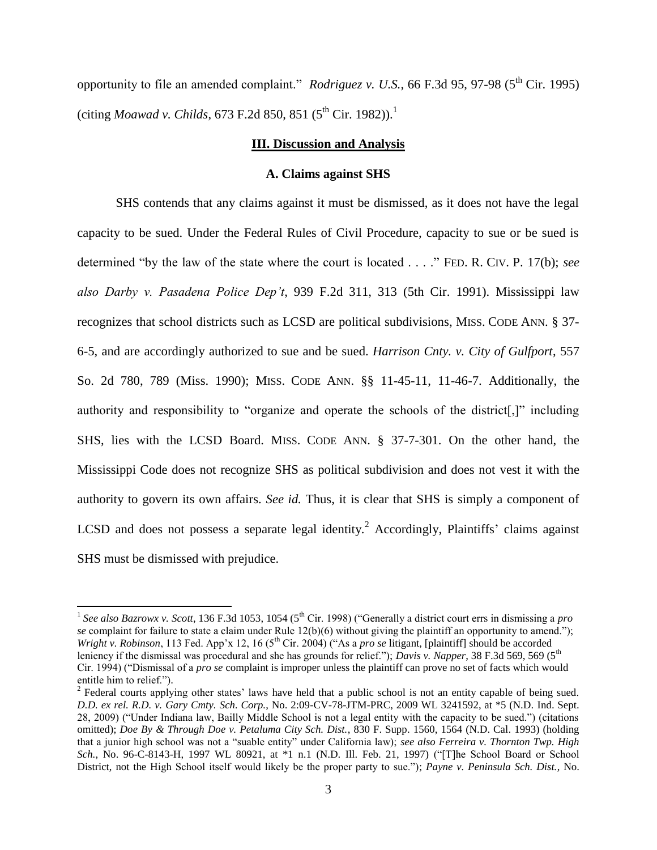opportunity to file an amended complaint." *Rodriguez v. U.S.*, 66 F.3d 95, 97-98 (5<sup>th</sup> Cir. 1995) (citing *Moawad v. Childs*, 673 F.2d 850, 851 (5<sup>th</sup> Cir. 1982)).<sup>1</sup>

## **III. Discussion and Analysis**

### **A. Claims against SHS**

SHS contends that any claims against it must be dismissed, as it does not have the legal capacity to be sued. Under the Federal Rules of Civil Procedure, capacity to sue or be sued is determined "by the law of the state where the court is located . . . ." FED. R. CIV. P. 17(b); *see also Darby v. Pasadena Police Dep't*, 939 F.2d 311, 313 (5th Cir. 1991). Mississippi law recognizes that school districts such as LCSD are political subdivisions, MISS. CODE ANN. § 37- 6-5, and are accordingly authorized to sue and be sued. *Harrison Cnty. v. City of Gulfport*, 557 So. 2d 780, 789 (Miss. 1990); MISS. CODE ANN. §§ 11-45-11, 11-46-7. Additionally, the authority and responsibility to "organize and operate the schools of the district[,]" including SHS, lies with the LCSD Board. MISS. CODE ANN. § 37-7-301. On the other hand, the Mississippi Code does not recognize SHS as political subdivision and does not vest it with the authority to govern its own affairs. *See id.* Thus, it is clear that SHS is simply a component of LCSD and does not possess a separate legal identity.<sup>2</sup> Accordingly, Plaintiffs' claims against SHS must be dismissed with prejudice.

 $\overline{\phantom{a}}$ 

<sup>&</sup>lt;sup>1</sup> See also Bazrowx v. Scott, 136 F.3d 1053, 1054 (5<sup>th</sup> Cir. 1998) ("Generally a district court errs in dismissing a *pro se* complaint for failure to state a claim under Rule 12(b)(6) without giving the plaintiff an opportunity to amend."); *Wright v. Robinson*, 113 Fed. App'x 12, 16 (5<sup>th</sup> Cir. 2004) ("As a *pro se* litigant, [plaintiff] should be accorded leniency if the dismissal was procedural and she has grounds for relief."); *Davis v. Napper*, 38 F.3d 569, 569 (5<sup>th</sup>) Cir. 1994) ("Dismissal of a *pro se* complaint is improper unless the plaintiff can prove no set of facts which would entitle him to relief.").

<sup>&</sup>lt;sup>2</sup> Federal courts applying other states' laws have held that a public school is not an entity capable of being sued. *D.D. ex rel. R.D. v. Gary Cmty. Sch. Corp.*, No. 2:09-CV-78-JTM-PRC, 2009 WL 3241592, at \*5 (N.D. Ind. Sept. 28, 2009) ("Under Indiana law, Bailly Middle School is not a legal entity with the capacity to be sued.") (citations omitted); *Doe By & Through Doe v. Petaluma City Sch. Dist.*, 830 F. Supp. 1560, 1564 (N.D. Cal. 1993) (holding that a junior high school was not a "suable entity" under California law); *see also Ferreira v. Thornton Twp. High Sch.*, No. 96-C-8143-H, 1997 WL 80921, at \*1 n.1 (N.D. Ill. Feb. 21, 1997) ("[T]he School Board or School District, not the High School itself would likely be the proper party to sue."); *Payne v. Peninsula Sch. Dist.*, No.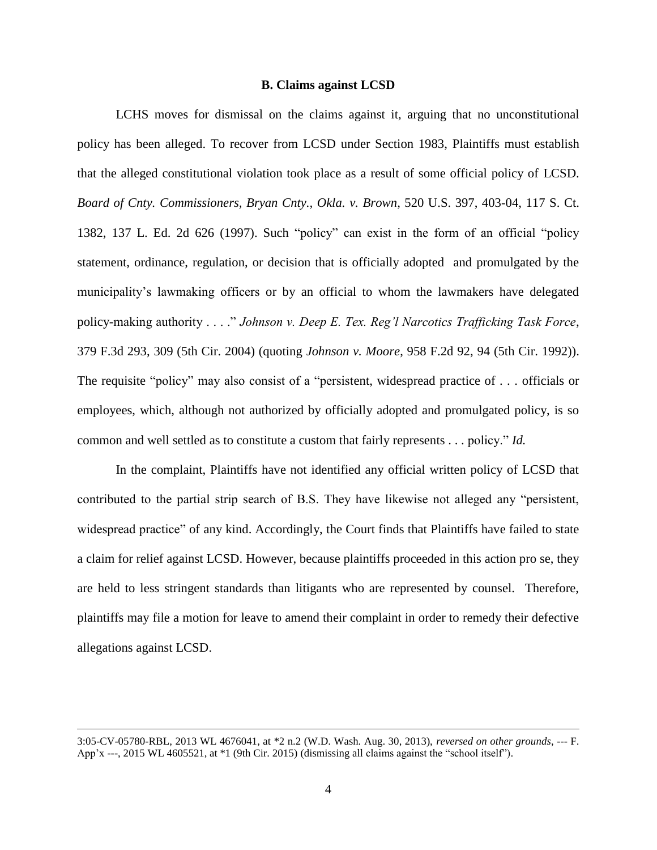## **B. Claims against LCSD**

LCHS moves for dismissal on the claims against it, arguing that no unconstitutional policy has been alleged. To recover from LCSD under Section 1983, Plaintiffs must establish that the alleged constitutional violation took place as a result of some official policy of LCSD. *Board of Cnty. Commissioners, Bryan Cnty., Okla. v. Brown*, 520 U.S. 397, 403-04, 117 S. Ct. 1382, 137 L. Ed. 2d 626 (1997). Such "policy" can exist in the form of an official "policy statement, ordinance, regulation, or decision that is officially adopted and promulgated by the municipality's lawmaking officers or by an official to whom the lawmakers have delegated policy-making authority . . . ." *Johnson v. Deep E. Tex. Reg'l Narcotics Trafficking Task Force*, 379 F.3d 293, 309 (5th Cir. 2004) (quoting *Johnson v. Moore*, 958 F.2d 92, 94 (5th Cir. 1992)). The requisite "policy" may also consist of a "persistent, widespread practice of . . . officials or employees, which, although not authorized by officially adopted and promulgated policy, is so common and well settled as to constitute a custom that fairly represents . . . policy." *Id.*

In the complaint, Plaintiffs have not identified any official written policy of LCSD that contributed to the partial strip search of B.S. They have likewise not alleged any "persistent, widespread practice" of any kind. Accordingly, the Court finds that Plaintiffs have failed to state a claim for relief against LCSD. However, because plaintiffs proceeded in this action pro se, they are held to less stringent standards than litigants who are represented by counsel. Therefore, plaintiffs may file a motion for leave to amend their complaint in order to remedy their defective allegations against LCSD.

 $\overline{\phantom{a}}$ 

<sup>3:05-</sup>CV-05780-RBL, 2013 WL 4676041, at \*2 n.2 (W.D. Wash. Aug. 30, 2013), *reversed on other grounds*, --- F. App'x ---, 2015 WL 4605521, at \*1 (9th Cir. 2015) (dismissing all claims against the "school itself").